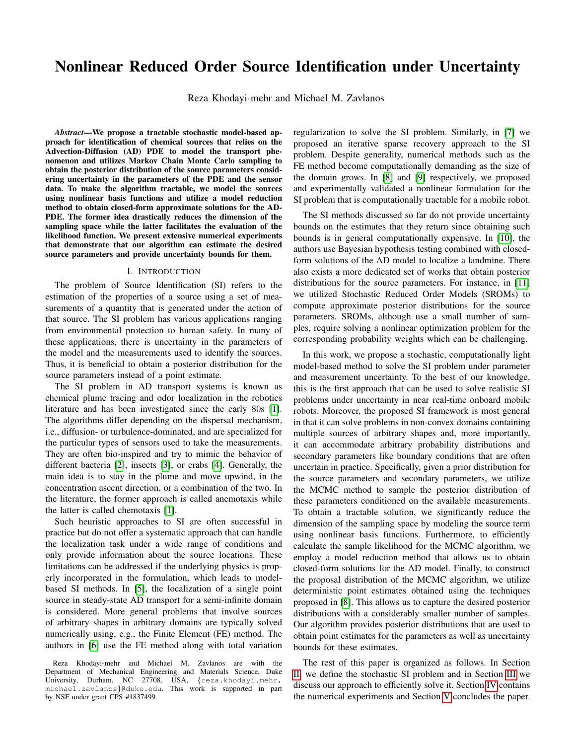# Nonlinear Reduced Order Source Identification under Uncertainty

Reza Khodayi-mehr and Michael M. Zavlanos

*Abstract*—We propose a tractable stochastic model-based approach for identification of chemical sources that relies on the Advection-Diffusion (AD) PDE to model the transport phenomenon and utilizes Markov Chain Monte Carlo sampling to obtain the posterior distribution of the source parameters considering uncertainty in the parameters of the PDE and the sensor data. To make the algorithm tractable, we model the sources using nonlinear basis functions and utilize a model reduction method to obtain closed-form approximate solutions for the AD-PDE. The former idea drastically reduces the dimension of the sampling space while the latter facilitates the evaluation of the likelihood function. We present extensive numerical experiments that demonstrate that our algorithm can estimate the desired source parameters and provide uncertainty bounds for them.

#### I. INTRODUCTION

The problem of Source Identification (SI) refers to the estimation of the properties of a source using a set of measurements of a quantity that is generated under the action of that source. The SI problem has various applications ranging from environmental protection to human safety. In many of these applications, there is uncertainty in the parameters of the model and the measurements used to identify the sources. Thus, it is beneficial to obtain a posterior distribution for the source parameters instead of a point estimate.

The SI problem in AD transport systems is known as chemical plume tracing and odor localization in the robotics literature and has been investigated since the early 80s [\[1\]](#page-5-0). The algorithms differ depending on the dispersal mechanism, i.e., diffusion- or turbulence-dominated, and are specialized for the particular types of sensors used to take the measurements. They are often bio-inspired and try to mimic the behavior of different bacteria [\[2\]](#page-5-1), insects [\[3\]](#page-5-2), or crabs [\[4\]](#page-5-3). Generally, the main idea is to stay in the plume and move upwind, in the concentration ascent direction, or a combination of the two. In the literature, the former approach is called anemotaxis while the latter is called chemotaxis [\[1\]](#page-5-0).

Such heuristic approaches to SI are often successful in practice but do not offer a systematic approach that can handle the localization task under a wide range of conditions and only provide information about the source locations. These limitations can be addressed if the underlying physics is properly incorporated in the formulation, which leads to modelbased SI methods. In [\[5\]](#page-5-4), the localization of a single point source in steady-state AD transport for a semi-infinite domain is considered. More general problems that involve sources of arbitrary shapes in arbitrary domains are typically solved numerically using, e.g., the Finite Element (FE) method. The authors in [\[6\]](#page-5-5) use the FE method along with total variation

regularization to solve the SI problem. Similarly, in [\[7\]](#page-5-6) we proposed an iterative sparse recovery approach to the SI problem. Despite generality, numerical methods such as the FE method become computationally demanding as the size of the domain grows. In [\[8\]](#page-5-7) and [\[9\]](#page-5-8) respectively, we proposed and experimentally validated a nonlinear formulation for the SI problem that is computationally tractable for a mobile robot.

The SI methods discussed so far do not provide uncertainty bounds on the estimates that they return since obtaining such bounds is in general computationally expensive. In [\[10\]](#page-5-9), the authors use Bayesian hypothesis testing combined with closedform solutions of the AD model to localize a landmine. There also exists a more dedicated set of works that obtain posterior distributions for the source parameters. For instance, in [\[11\]](#page-5-10) we utilized Stochastic Reduced Order Models (SROMs) to compute approximate posterior distributions for the source parameters. SROMs, although use a small number of samples, require solving a nonlinear optimization problem for the corresponding probability weights which can be challenging.

In this work, we propose a stochastic, computationally light model-based method to solve the SI problem under parameter and measurement uncertainty. To the best of our knowledge, this is the first approach that can be used to solve realistic SI problems under uncertainty in near real-time onboard mobile robots. Moreover, the proposed SI framework is most general in that it can solve problems in non-convex domains containing multiple sources of arbitrary shapes and, more importantly, it can accommodate arbitrary probability distributions and secondary parameters like boundary conditions that are often uncertain in practice. Specifically, given a prior distribution for the source parameters and secondary parameters, we utilize the MCMC method to sample the posterior distribution of these parameters conditioned on the available measurements. To obtain a tractable solution, we significantly reduce the dimension of the sampling space by modeling the source term using nonlinear basis functions. Furthermore, to efficiently calculate the sample likelihood for the MCMC algorithm, we employ a model reduction method that allows us to obtain closed-form solutions for the AD model. Finally, to construct the proposal distribution of the MCMC algorithm, we utilize deterministic point estimates obtained using the techniques proposed in [\[8\]](#page-5-7). This allows us to capture the desired posterior distributions with a considerably smaller number of samples. Our algorithm provides posterior distributions that are used to obtain point estimates for the parameters as well as uncertainty bounds for these estimates.

The rest of this paper is organized as follows. In Section [II,](#page-1-0) we define the stochastic SI problem and in Section [III](#page-1-1) we discuss our approach to efficiently solve it. Section [IV](#page-3-0) contains the numerical experiments and Section [V](#page-5-11) concludes the paper.

Reza Khodayi-mehr and Michael M. Zavlanos are with the Department of Mechanical Engineering and Materials Science, Duke University, Durham, NC 27708, USA, {reza.khodayi.mehr, michael.zavlanos}@duke.edu. This work is supported in part by NSF under grant CPS #1837499.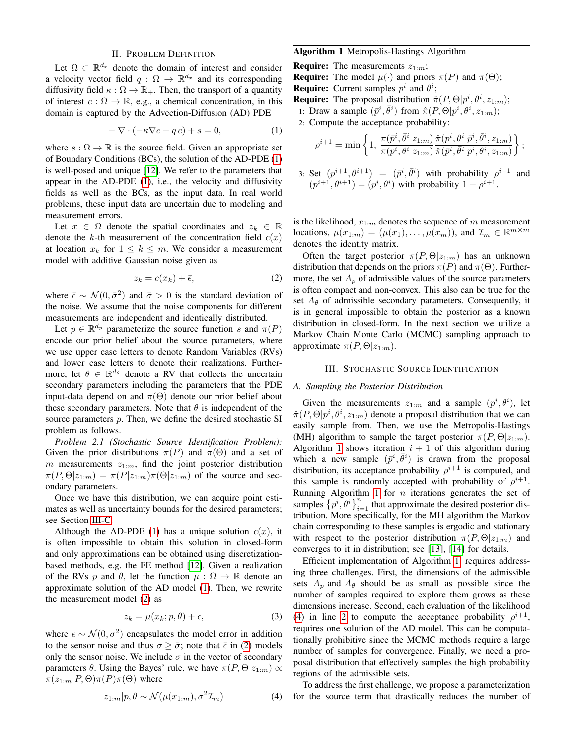### II. PROBLEM DEFINITION

<span id="page-1-0"></span>Let  $\Omega \subset \mathbb{R}^{d_x}$  denote the domain of interest and consider a velocity vector field  $q : \Omega \to \mathbb{R}^{d_x}$  and its corresponding diffusivity field  $\kappa : \Omega \to \mathbb{R}_+$ . Then, the transport of a quantity of interest  $c : \Omega \to \mathbb{R}$ , e.g., a chemical concentration, in this domain is captured by the Advection-Diffusion (AD) PDE

<span id="page-1-2"></span>
$$
-\nabla \cdot (-\kappa \nabla c + q c) + s = 0,\tag{1}
$$

where  $s : \Omega \to \mathbb{R}$  is the source field. Given an appropriate set of Boundary Conditions (BCs), the solution of the AD-PDE [\(1\)](#page-1-2) is well-posed and unique [\[12\]](#page-5-12). We refer to the parameters that appear in the AD-PDE [\(1\)](#page-1-2), i.e., the velocity and diffusivity fields as well as the BCs, as the input data. In real world problems, these input data are uncertain due to modeling and measurement errors.

Let  $x \in \Omega$  denote the spatial coordinates and  $z_k \in \mathbb{R}$ denote the k-th measurement of the concentration field  $c(x)$ at location  $x_k$  for  $1 \leq k \leq m$ . We consider a measurement model with additive Gaussian noise given as

<span id="page-1-3"></span>
$$
z_k = c(x_k) + \bar{\epsilon},\tag{2}
$$

where  $\bar{\epsilon} \sim \mathcal{N}(0, \bar{\sigma}^2)$  and  $\bar{\sigma} > 0$  is the standard deviation of the noise. We assume that the noise components for different measurements are independent and identically distributed.

Let  $p \in \mathbb{R}^{d_p}$  parameterize the source function s and  $\pi(P)$ encode our prior belief about the source parameters, where we use upper case letters to denote Random Variables (RVs) and lower case letters to denote their realizations. Furthermore, let  $\theta \in \mathbb{R}^{d_{\theta}}$  denote a RV that collects the uncertain secondary parameters including the parameters that the PDE input-data depend on and  $\pi(\Theta)$  denote our prior belief about these secondary parameters. Note that  $\theta$  is independent of the source parameters p. Then, we define the desired stochastic SI problem as follows.

*Problem 2.1 (Stochastic Source Identification Problem):* Given the prior distributions  $\pi(P)$  and  $\pi(\Theta)$  and a set of  $m$  measurements  $z_{1:m}$ , find the joint posterior distribution  $\pi(P,\Theta|z_{1:m}) = \pi(P|z_{1:m})\pi(\Theta|z_{1:m})$  of the source and secondary parameters.

Once we have this distribution, we can acquire point estimates as well as uncertainty bounds for the desired parameters; see Section [III-C.](#page-3-1)

Although the AD-PDE [\(1\)](#page-1-2) has a unique solution  $c(x)$ , it is often impossible to obtain this solution in closed-form and only approximations can be obtained using discretizationbased methods, e.g. the FE method [\[12\]](#page-5-12). Given a realization of the RVs p and  $\theta$ , let the function  $\mu : \Omega \to \mathbb{R}$  denote an approximate solution of the AD model [\(1\)](#page-1-2). Then, we rewrite the measurement model [\(2\)](#page-1-3) as

<span id="page-1-7"></span>
$$
z_k = \mu(x_k; p, \theta) + \epsilon,\tag{3}
$$

where  $\epsilon \sim \mathcal{N}(0, \sigma^2)$  encapsulates the model error in addition to the sensor noise and thus  $\sigma \geq \bar{\sigma}$ ; note that  $\bar{\epsilon}$  in [\(2\)](#page-1-3) models only the sensor noise. We include  $\sigma$  in the vector of secondary parameters θ. Using the Bayes' rule, we have  $\pi(P, \Theta | z_{1:m}) \propto$  $\pi(z_{1:m}|P,\Theta)\pi(P)\pi(\Theta)$  where

<span id="page-1-5"></span>
$$
z_{1:m}|p, \theta \sim \mathcal{N}(\mu(x_{1:m}), \sigma^2 \mathcal{I}_m)
$$
 (4)

## <span id="page-1-4"></span>Algorithm 1 Metropolis-Hastings Algorithm

**Require:** The measurements  $z_{1:m}$ ; **Require:** The model  $\mu(\cdot)$  and priors  $\pi(P)$  and  $\pi(\Theta)$ ; **Require:** Current samples  $p^i$  and  $\theta^i$ ; **Require:** The proposal distribution  $\hat{\pi}(P, \Theta | p^i, \theta^i, z_{1:m})$ ;

- 1: Draw a sample  $(\bar{p}^i, \bar{\theta}^i)$  from  $\hat{\pi}(P, \Theta | p^i, \theta^i, z_{1:m})$ ;
- <span id="page-1-6"></span>2: Compute the acceptance probability:

$$
\rho^{i+1} = \min\left\{1, ~\frac{\pi(\bar{p}^i, \bar{\theta}^i | z_{1:m})}{\pi(p^i, \theta^i | z_{1:m})} \frac{\hat{\pi}(p^i, \theta^i | \bar{p}^i, \bar{\theta}^i, z_{1:m})}{\hat{\pi}(\bar{p}^i, \bar{\theta}^i | p^i, \theta^i, z_{1:m})}\right\};
$$

3: Set  $(p^{i+1}, \theta^{i+1}) = (\bar{p}^i, \bar{\theta}^i)$  with probability  $\rho^{i+1}$  and  $(p^{i+1}, \theta^{i+1}) = (p^i, \theta^i)$  with probability  $1 - \rho^{i+1}$ .

is the likelihood,  $x_{1:m}$  denotes the sequence of m measurement locations,  $\mu(x_{1:m}) = (\mu(x_1), \ldots, \mu(x_m))$ , and  $\mathcal{I}_m \in \mathbb{R}^{m \times m}$ denotes the identity matrix.

Often the target posterior  $\pi(P, \Theta | z_{1:m})$  has an unknown distribution that depends on the priors  $\pi(P)$  and  $\pi(\Theta)$ . Furthermore, the set  $A_p$  of admissible values of the source parameters is often compact and non-convex. This also can be true for the set  $A_{\theta}$  of admissible secondary parameters. Consequently, it is in general impossible to obtain the posterior as a known distribution in closed-form. In the next section we utilize a Markov Chain Monte Carlo (MCMC) sampling approach to approximate  $\pi(P, \Theta | z_{1:m})$ .

#### III. STOCHASTIC SOURCE IDENTIFICATION

## <span id="page-1-8"></span><span id="page-1-1"></span>*A. Sampling the Posterior Distribution*

Given the measurements  $z_{1:m}$  and a sample  $(p^i, \theta^i)$ , let  $\hat{\pi}(P,\Theta|p^i,\theta^i,z_{1:m})$  denote a proposal distribution that we can easily sample from. Then, we use the Metropolis-Hastings (MH) algorithm to sample the target posterior  $\pi(P, \Theta | z_{1:m})$ . Algorithm [1](#page-1-4) shows iteration  $i + 1$  of this algorithm during which a new sample  $(\bar{p}^i, \bar{\theta}^i)$  is drawn from the proposal distribution, its acceptance probability  $\rho^{i+1}$  is computed, and this sample is randomly accepted with probability of  $\rho^{i+1}$ . Running Algorithm [1](#page-1-4) for  $n$  iterations generates the set of samples  $\left\{p^i, \theta^i\right\}_{i=1}^n$  that approximate the desired posterior distribution. More specifically, for the MH algorithm the Markov chain corresponding to these samples is ergodic and stationary with respect to the posterior distribution  $\pi(P, \Theta | z_{1:m})$  and converges to it in distribution; see [\[13\]](#page-5-13), [\[14\]](#page-5-14) for details.

Efficient implementation of Algorithm [1,](#page-1-4) requires addressing three challenges. First, the dimensions of the admissible sets  $A_n$  and  $A_\theta$  should be as small as possible since the number of samples required to explore them grows as these dimensions increase. Second, each evaluation of the likelihood [\(4\)](#page-1-5) in line [2](#page-1-6) to compute the acceptance probability  $\rho^{i+1}$ , requires one solution of the AD model. This can be computationally prohibitive since the MCMC methods require a large number of samples for convergence. Finally, we need a proposal distribution that effectively samples the high probability regions of the admissible sets.

To address the first challenge, we propose a parameterization for the source term that drastically reduces the number of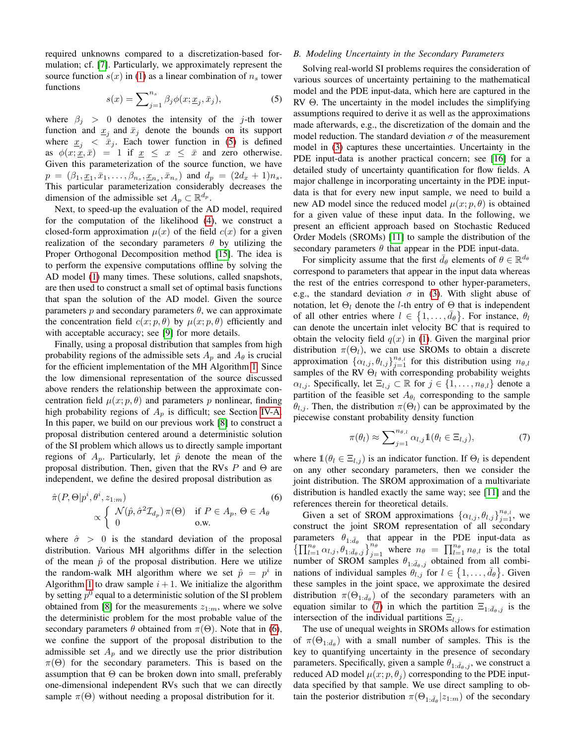required unknowns compared to a discretization-based formulation; cf. [\[7\]](#page-5-6). Particularly, we approximately represent the source function  $s(x)$  in [\(1\)](#page-1-2) as a linear combination of  $n<sub>s</sub>$  tower functions

<span id="page-2-0"></span>
$$
s(x) = \sum_{j=1}^{n_s} \beta_j \phi(x; \underline{x}_j, \bar{x}_j), \tag{5}
$$

where  $\beta_j > 0$  denotes the intensity of the j-th tower function and  $\underline{x}_j$  and  $\overline{x}_j$  denote the bounds on its support where  $x_j < \bar{x}_j$ . Each tower function in [\(5\)](#page-2-0) is defined as  $\phi(x; \underline{x}, \bar{x}) = 1$  if  $\underline{x} \leq x \leq \bar{x}$  and zero otherwise. Given this parameterization of the source function, we have  $p = (\beta_1, \underline{x}_1, \bar{x}_1, \dots, \beta_{n_s}, \underline{x}_{n_s}, \bar{x}_{n_s})$  and  $d_p = (2d_x + 1)n_s$ . This particular parameterization considerably decreases the dimension of the admissible set  $A_p \subset \mathbb{R}^{d_p}$ .

Next, to speed-up the evaluation of the AD model, required for the computation of the likelihood [\(4\)](#page-1-5), we construct a closed-form approximation  $\mu(x)$  of the field  $c(x)$  for a given realization of the secondary parameters  $\theta$  by utilizing the Proper Orthogonal Decomposition method [\[15\]](#page-5-15). The idea is to perform the expensive computations offline by solving the AD model [\(1\)](#page-1-2) many times. These solutions, called snapshots, are then used to construct a small set of optimal basis functions that span the solution of the AD model. Given the source parameters  $p$  and secondary parameters  $\theta$ , we can approximate the concentration field  $c(x; p, \theta)$  by  $\mu(x; p, \theta)$  efficiently and with acceptable accuracy; see [\[9\]](#page-5-8) for more details.

Finally, using a proposal distribution that samples from high probability regions of the admissible sets  $A_p$  and  $A_\theta$  is crucial for the efficient implementation of the MH Algorithm [1.](#page-1-4) Since the low dimensional representation of the source discussed above renders the relationship between the approximate concentration field  $\mu(x; p, \theta)$  and parameters p nonlinear, finding high probability regions of  $A_p$  is difficult; see Section [IV-A.](#page-3-2) In this paper, we build on our previous work [\[8\]](#page-5-7) to construct a proposal distribution centered around a deterministic solution of the SI problem which allows us to directly sample important regions of  $A_p$ . Particularly, let  $\hat{p}$  denote the mean of the proposal distribution. Then, given that the RVs  $P$  and  $\Theta$  are independent, we define the desired proposal distribution as

$$
\hat{\pi}(P,\Theta|p^i,\theta^i,z_{1:m})\n\times\n\begin{cases}\n\mathcal{N}(\hat{p},\hat{\sigma}^2\mathcal{I}_{d_p})\,\pi(\Theta) & \text{if } P \in A_p, \,\Theta \in A_\theta \\
0 & \text{o.w.}\n\end{cases}\n\tag{6}
$$

where  $\hat{\sigma} > 0$  is the standard deviation of the proposal distribution. Various MH algorithms differ in the selection of the mean  $\hat{p}$  of the proposal distribution. Here we utilize the random-walk MH algorithm where we set  $\hat{p} = p^i$  in Algorithm [1](#page-1-4) to draw sample  $i + 1$ . We initialize the algorithm by setting  $p^0$  equal to a deterministic solution of the SI problem obtained from [\[8\]](#page-5-7) for the measurements  $z_{1:m}$ , where we solve the deterministic problem for the most probable value of the secondary parameters  $\theta$  obtained from  $\pi(\Theta)$ . Note that in [\(6\)](#page-2-1), we confine the support of the proposal distribution to the admissible set  $A_p$  and we directly use the prior distribution  $\pi(\Theta)$  for the secondary parameters. This is based on the assumption that  $\Theta$  can be broken down into small, preferably one-dimensional independent RVs such that we can directly sample  $\pi(\Theta)$  without needing a proposal distribution for it.

#### <span id="page-2-3"></span>*B. Modeling Uncertainty in the Secondary Parameters*

Solving real-world SI problems requires the consideration of various sources of uncertainty pertaining to the mathematical model and the PDE input-data, which here are captured in the RV Θ. The uncertainty in the model includes the simplifying assumptions required to derive it as well as the approximations made afterwards, e.g., the discretization of the domain and the model reduction. The standard deviation  $\sigma$  of the measurement model in [\(3\)](#page-1-7) captures these uncertainties. Uncertainty in the PDE input-data is another practical concern; see [\[16\]](#page-5-16) for a detailed study of uncertainty quantification for flow fields. A major challenge in incorporating uncertainty in the PDE inputdata is that for every new input sample, we need to build a new AD model since the reduced model  $\mu(x; p, \theta)$  is obtained for a given value of these input data. In the following, we present an efficient approach based on Stochastic Reduced Order Models (SROMs) [\[11\]](#page-5-10) to sample the distribution of the secondary parameters  $\theta$  that appear in the PDE input-data.

For simplicity assume that the first  $\bar{d}_{\theta}$  elements of  $\theta \in \mathbb{R}^{d_{\theta}}$ correspond to parameters that appear in the input data whereas the rest of the entries correspond to other hyper-parameters, e.g., the standard deviation  $\sigma$  in [\(3\)](#page-1-7). With slight abuse of notation, let  $\Theta_l$  denote the *l*-th entry of  $\Theta$  that is independent of all other entries where  $l \in \{1, \ldots, \bar{d}_{\theta}\}\$ . For instance,  $\theta_l$ can denote the uncertain inlet velocity BC that is required to obtain the velocity field  $q(x)$  in [\(1\)](#page-1-2). Given the marginal prior distribution  $\pi(\Theta_l)$ , we can use SROMs to obtain a discrete approximation  $\{\alpha_{l,j}, \theta_{l,j}\}_{j=1}^{n_{\theta,l}}$  for this distribution using  $n_{\theta,l}$ samples of the RV  $\Theta_l$  with corresponding probability weights  $\alpha_{l,j}$ . Specifically, let  $\Xi_{l,j} \subset \mathbb{R}$  for  $j \in \{1, \ldots, n_{\theta,l}\}\$  denote a partition of the feasible set  $A_{\theta_l}$  corresponding to the sample  $\theta_{l,i}$ . Then, the distribution  $\pi(\Theta_l)$  can be approximated by the piecewise constant probability density function

<span id="page-2-2"></span>
$$
\pi(\theta_l) \approx \sum_{j=1}^{n_{\theta,l}} \alpha_{l,j} \mathbb{1}(\theta_l \in \Xi_{l,j}),\tag{7}
$$

where  $\mathbb{1}(\theta_l \in \Xi_{l,j})$  is an indicator function. If  $\Theta_l$  is dependent on any other secondary parameters, then we consider the joint distribution. The SROM approximation of a multivariate distribution is handled exactly the same way; see [\[11\]](#page-5-10) and the references therein for theoretical details.

<span id="page-2-1"></span>Given a set of SROM approximations  $\{\alpha_{l,j}, \theta_{l,j}\}_{j=1}^{n_{\theta,l}}$ , we construct the joint SROM representation of all secondary parameters  $\theta_{1:\bar{d}_{\theta}}$  that appear in the PDE input-data as  $\{\prod_{l=1}^{n_{\theta}} \alpha_{l,j}, \theta_{1:\bar{d}_{\theta},j}\}_{j=1}^{n_{\theta}}$  where  $n_{\theta} = \prod_{l=1}^{n_{\theta}} n_{\theta,l}$  is the total number of SROM samples  $\theta_{1:\bar{d}_{\theta},j}$  obtained from all combinations of individual samples  $\hat{\theta}_{l,j}$  for  $l \in \{1, \ldots, \bar{d}_{\theta}\}\.$  Given these samples in the joint space, we approximate the desired distribution  $\pi(\Theta_{1:\bar{d}_{\theta}})$  of the secondary parameters with an equation similar to [\(7\)](#page-2-2) in which the partition  $\Xi_{1:\bar{d}_{\theta},j}$  is the intersection of the individual partitions  $\Xi_{l,j}$ .

The use of unequal weights in SROMs allows for estimation of  $\pi(\Theta_{1:\bar{d}_{\theta}})$  with a small number of samples. This is the key to quantifying uncertainty in the presence of secondary parameters. Specifically, given a sample  $\theta_{1:\bar{d}_{\theta},j}$ , we construct a reduced AD model  $\mu(x; p, \theta_i)$  corresponding to the PDE inputdata specified by that sample. We use direct sampling to obtain the posterior distribution  $\pi(\Theta_{1:\bar{d}_{\theta}}|z_{1:m})$  of the secondary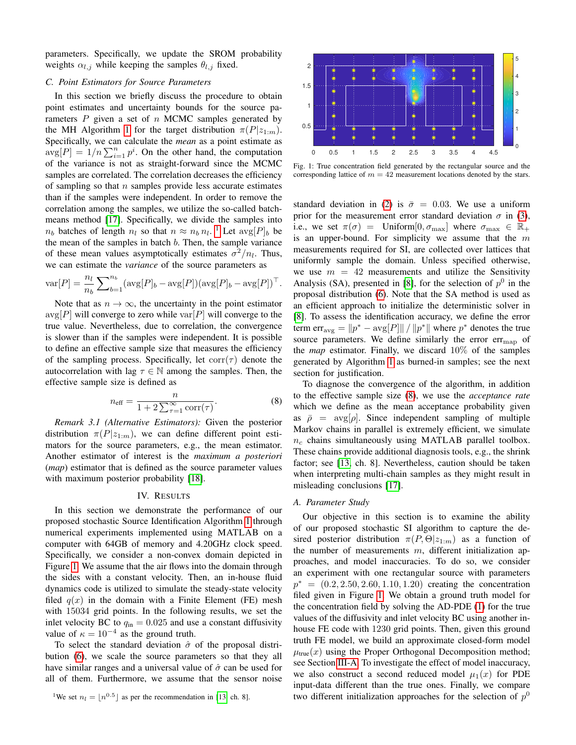parameters. Specifically, we update the SROM probability weights  $\alpha_{l,j}$  while keeping the samples  $\theta_{l,j}$  fixed.

## <span id="page-3-1"></span>*C. Point Estimators for Source Parameters*

In this section we briefly discuss the procedure to obtain point estimates and uncertainty bounds for the source parameters  $P$  given a set of  $n$  MCMC samples generated by the MH Algorithm [1](#page-1-4) for the target distribution  $\pi(P|z_{1:m})$ . Specifically, we can calculate the *mean* as a point estimate as  $\arg[P] = 1/n \sum_{i=1}^{n} p^{i}$ . On the other hand, the computation of the variance is not as straight-forward since the MCMC samples are correlated. The correlation decreases the efficiency of sampling so that  $n$  samples provide less accurate estimates than if the samples were independent. In order to remove the correlation among the samples, we utilize the so-called batchmeans method [\[17\]](#page-5-17). Specifically, we divide the samples into  $n_b$  batches of length  $n_l$  so that  $n \approx n_b n_l$ . <sup>[1](#page-3-3)</sup> Let  $\arg[P]_b$  be the mean of the samples in batch  $b$ . Then, the sample variance of these mean values asymptotically estimates  $\sigma^2/n_l$ . Thus, we can estimate the *variance* of the source parameters as

$$
\text{var}[P] = \frac{n_l}{n_b} \sum_{b=1}^{n_b} (\text{avg}[P]_b - \text{avg}[P])(\text{avg}[P]_b - \text{avg}[P])^\top.
$$

Note that as  $n \to \infty$ , the uncertainty in the point estimator  $\exp[P]$  will converge to zero while  $\exp[P]$  will converge to the true value. Nevertheless, due to correlation, the convergence is slower than if the samples were independent. It is possible to define an effective sample size that measures the efficiency of the sampling process. Specifically, let  $corr(\tau)$  denote the autocorrelation with lag  $\tau \in \mathbb{N}$  among the samples. Then, the effective sample size is defined as

<span id="page-3-5"></span>
$$
n_{\text{eff}} = \frac{n}{1 + 2\sum_{\tau=1}^{\infty} \text{corr}(\tau)}.
$$
 (8)

*Remark 3.1 (Alternative Estimators):* Given the posterior distribution  $\pi(P|z_{1:m})$ , we can define different point estimators for the source parameters, e.g., the mean estimator. Another estimator of interest is the *maximum a posteriori* (*map*) estimator that is defined as the source parameter values with maximum posterior probability [\[18\]](#page-5-18).

## IV. RESULTS

<span id="page-3-0"></span>In this section we demonstrate the performance of our proposed stochastic Source Identification Algorithm [1](#page-1-4) through numerical experiments implemented using MATLAB on a computer with 64GB of memory and 4.20GHz clock speed. Specifically, we consider a non-convex domain depicted in Figure [1.](#page-3-4) We assume that the air flows into the domain through the sides with a constant velocity. Then, an in-house fluid dynamics code is utilized to simulate the steady-state velocity filed  $q(x)$  in the domain with a Finite Element (FE) mesh with 15034 grid points. In the following results, we set the inlet velocity BC to  $q_{\rm in} = 0.025$  and use a constant diffusivity value of  $\kappa = 10^{-4}$  as the ground truth.

To select the standard deviation  $\hat{\sigma}$  of the proposal distribution [\(6\)](#page-2-1), we scale the source parameters so that they all have similar ranges and a universal value of  $\hat{\sigma}$  can be used for all of them. Furthermore, we assume that the sensor noise

<span id="page-3-4"></span>

Fig. 1: True concentration field generated by the rectangular source and the corresponding lattice of  $m = 42$  measurement locations denoted by the stars.

standard deviation in [\(2\)](#page-1-3) is  $\bar{\sigma} = 0.03$ . We use a uniform prior for the measurement error standard deviation  $\sigma$  in [\(3\)](#page-1-7), i.e., we set  $\pi(\sigma) =$  Uniform  $[0, \sigma_{\text{max}}]$  where  $\sigma_{\text{max}} \in \mathbb{R}_+$ is an upper-bound. For simplicity we assume that the  $m$ measurements required for SI, are collected over lattices that uniformly sample the domain. Unless specified otherwise, we use  $m = 42$  measurements and utilize the Sensitivity Analysis (SA), presented in [\[8\]](#page-5-7), for the selection of  $p^0$  in the proposal distribution [\(6\)](#page-2-1). Note that the SA method is used as an efficient approach to initialize the deterministic solver in [\[8\]](#page-5-7). To assess the identification accuracy, we define the error term  $err_{\text{avg}} = ||p^* - \text{avg}[P]|| / ||p^*||$  where  $p^*$  denotes the true source parameters. We define similarly the error  $err_{map}$  of the *map* estimator. Finally, we discard 10% of the samples generated by Algorithm [1](#page-1-4) as burned-in samples; see the next section for justification.

To diagnose the convergence of the algorithm, in addition to the effective sample size [\(8\)](#page-3-5), we use the *acceptance rate* which we define as the mean acceptance probability given as  $\bar{\rho}$  = avg[ $\rho$ ]. Since independent sampling of multiple Markov chains in parallel is extremely efficient, we simulate  $n_c$  chains simultaneously using MATLAB parallel toolbox. These chains provide additional diagnosis tools, e.g., the shrink factor; see [\[13,](#page-5-13) ch. 8]. Nevertheless, caution should be taken when interpreting multi-chain samples as they might result in misleading conclusions [\[17\]](#page-5-17).

#### <span id="page-3-2"></span>*A. Parameter Study*

Our objective in this section is to examine the ability of our proposed stochastic SI algorithm to capture the desired posterior distribution  $\pi(P, \Theta | z_{1:m})$  as a function of the number of measurements  $m$ , different initialization approaches, and model inaccuracies. To do so, we consider an experiment with one rectangular source with parameters  $p^* = (0.2, 2.50, 2.60, 1.10, 1.20)$  creating the concentration filed given in Figure [1.](#page-3-4) We obtain a ground truth model for the concentration field by solving the AD-PDE [\(1\)](#page-1-2) for the true values of the diffusivity and inlet velocity BC using another inhouse FE code with 1230 grid points. Then, given this ground truth FE model, we build an approximate closed-form model  $\mu_{true}(x)$  using the Proper Orthogonal Decomposition method; see Section [III-A.](#page-1-8) To investigate the effect of model inaccuracy, we also construct a second reduced model  $\mu_1(x)$  for PDE input-data different than the true ones. Finally, we compare two different initialization approaches for the selection of  $p^0$ 

<span id="page-3-3"></span><sup>&</sup>lt;sup>1</sup>We set  $n_l = \lfloor n^{0.5} \rfloor$  as per the recommendation in [\[13,](#page-5-13) ch. 8].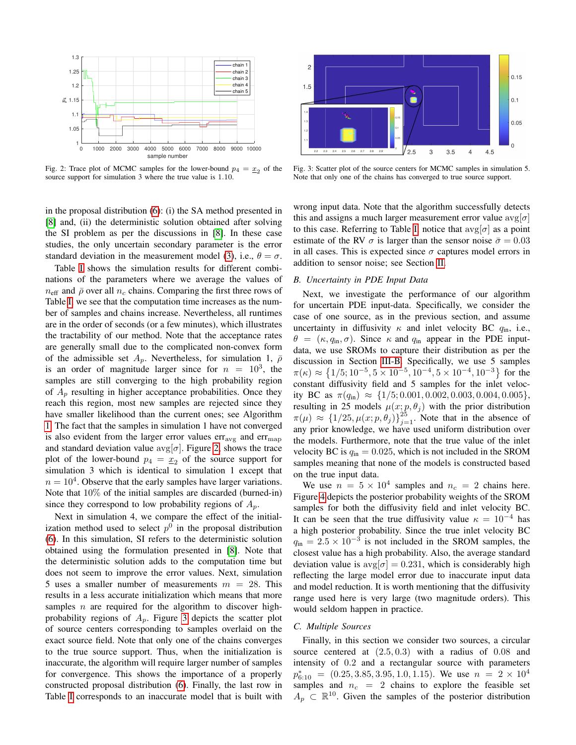<span id="page-4-0"></span>

Fig. 2: Trace plot of MCMC samples for the lower-bound  $p_4 = \underline{x}_2$  of the source support for simulation 3 where the true value is 1.10.

in the proposal distribution [\(6\)](#page-2-1): (i) the SA method presented in [\[8\]](#page-5-7) and, (ii) the deterministic solution obtained after solving the SI problem as per the discussions in [\[8\]](#page-5-7). In these case studies, the only uncertain secondary parameter is the error standard deviation in the measurement model [\(3\)](#page-1-7), i.e.,  $\theta = \sigma$ .

Table [I](#page-5-19) shows the simulation results for different combinations of the parameters where we average the values of  $n_{\text{eff}}$  and  $\bar{\rho}$  over all  $n_c$  chains. Comparing the first three rows of Table [I,](#page-5-19) we see that the computation time increases as the number of samples and chains increase. Nevertheless, all runtimes are in the order of seconds (or a few minutes), which illustrates the tractability of our method. Note that the acceptance rates are generally small due to the complicated non-convex form of the admissible set  $A_p$ . Nevertheless, for simulation 1,  $\bar{\rho}$ is an order of magnitude larger since for  $n = 10^3$ , the samples are still converging to the high probability region of  $A_p$  resulting in higher acceptance probabilities. Once they reach this region, most new samples are rejected since they have smaller likelihood than the current ones; see Algorithm [1.](#page-1-4) The fact that the samples in simulation 1 have not converged is also evident from the larger error values  $err_{avg}$  and  $err_{map}$ and standard deviation value  $\exp[\sigma]$ . Figure [2,](#page-4-0) shows the trace plot of the lower-bound  $p_4 = \underline{x}_2$  of the source support for simulation 3 which is identical to simulation 1 except that  $n = 10<sup>4</sup>$ . Observe that the early samples have larger variations. Note that 10% of the initial samples are discarded (burned-in) since they correspond to low probability regions of  $A_p$ .

Next in simulation 4, we compare the effect of the initialization method used to select  $p^0$  in the proposal distribution [\(6\)](#page-2-1). In this simulation, SI refers to the deterministic solution obtained using the formulation presented in [\[8\]](#page-5-7). Note that the deterministic solution adds to the computation time but does not seem to improve the error values. Next, simulation 5 uses a smaller number of measurements  $m = 28$ . This results in a less accurate initialization which means that more samples  $n$  are required for the algorithm to discover highprobability regions of  $A_p$ . Figure [3](#page-4-1) depicts the scatter plot of source centers corresponding to samples overlaid on the exact source field. Note that only one of the chains converges to the true source support. Thus, when the initialization is inaccurate, the algorithm will require larger number of samples for convergence. This shows the importance of a properly constructed proposal distribution [\(6\)](#page-2-1). Finally, the last row in Table [I](#page-5-19) corresponds to an inaccurate model that is built with

<span id="page-4-1"></span>

Fig. 3: Scatter plot of the source centers for MCMC samples in simulation 5. Note that only one of the chains has converged to true source support.

wrong input data. Note that the algorithm successfully detects this and assigns a much larger measurement error value  $\exp[\sigma]$ to this case. Referring to Table [I,](#page-5-19) notice that  $\arg[\sigma]$  as a point estimate of the RV  $\sigma$  is larger than the sensor noise  $\bar{\sigma} = 0.03$ in all cases. This is expected since  $\sigma$  captures model errors in addition to sensor noise; see Section [II.](#page-1-0)

# *B. Uncertainty in PDE Input Data*

Next, we investigate the performance of our algorithm for uncertain PDE input-data. Specifically, we consider the case of one source, as in the previous section, and assume uncertainty in diffusivity  $\kappa$  and inlet velocity BC  $q_{\text{in}}$ , i.e.,  $\theta = (\kappa, q_{\text{in}}, \sigma)$ . Since  $\kappa$  and  $q_{\text{in}}$  appear in the PDE inputdata, we use SROMs to capture their distribution as per the discussion in Section [III-B.](#page-2-3) Specifically, we use 5 samples  $\pi(\kappa) \approx \{1/5; 10^{-5}, 5 \times 10^{-5}, 10^{-4}, 5 \times 10^{-4}, 10^{-3}\}\;$  for the constant diffusivity field and 5 samples for the inlet velocity BC as  $\pi(q_{\text{in}}) \approx \{1/5; 0.001, 0.002, 0.003, 0.004, 0.005\},\$ resulting in 25 models  $\mu(x; p, \theta_j)$  with the prior distribution  $\pi(\mu) \approx \{1/25, \mu(x; p, \theta_j)\}_{j=1}^{25}$ . Note that in the absence of any prior knowledge, we have used uniform distribution over the models. Furthermore, note that the true value of the inlet velocity BC is  $q_{\rm in} = 0.025$ , which is not included in the SROM samples meaning that none of the models is constructed based on the true input data.

We use  $n = 5 \times 10^4$  samples and  $n_c = 2$  chains here. Figure [4](#page-5-20) depicts the posterior probability weights of the SROM samples for both the diffusivity field and inlet velocity BC. It can be seen that the true diffusivity value  $\kappa = 10^{-4}$  has a high posterior probability. Since the true inlet velocity BC  $q_{\text{in}} = 2.5 \times 10^{-3}$  is not included in the SROM samples, the closest value has a high probability. Also, the average standard deviation value is  $\text{avg}[\sigma] = 0.231$ , which is considerably high reflecting the large model error due to inaccurate input data and model reduction. It is worth mentioning that the diffusivity range used here is very large (two magnitude orders). This would seldom happen in practice.

## *C. Multiple Sources*

Finally, in this section we consider two sources, a circular source centered at  $(2.5, 0.3)$  with a radius of 0.08 and intensity of 0.2 and a rectangular source with parameters  $p_{6:10}^* = (0.25, 3.85, 3.95, 1.0, 1.15)$ . We use  $n = 2 \times 10^4$ samples and  $n_c = 2$  chains to explore the feasible set  $A_p \nightharpoonup \mathbb{R}^{10}$ . Given the samples of the posterior distribution